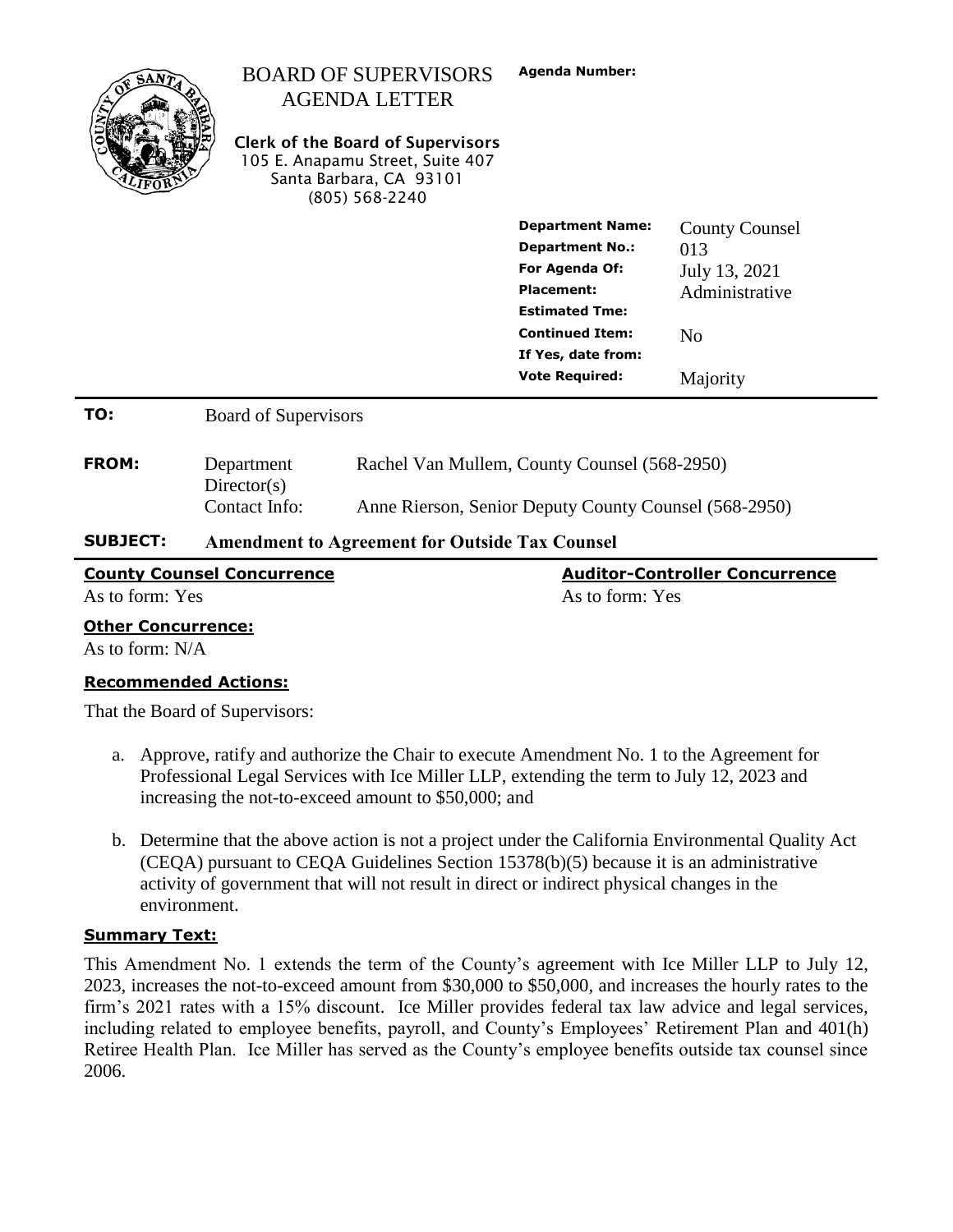| <b>County Counsel Concurrence</b><br><b>Auditor-Controller Concurrence</b> |                                                                                                                                                 |                                                                                                                                                   |                                             |                                 |
|----------------------------------------------------------------------------|-------------------------------------------------------------------------------------------------------------------------------------------------|---------------------------------------------------------------------------------------------------------------------------------------------------|---------------------------------------------|---------------------------------|
| <b>SUBJECT:</b>                                                            | Directory(s)<br>Contact Info:<br>Anne Rierson, Senior Deputy County Counsel (568-2950)<br><b>Amendment to Agreement for Outside Tax Counsel</b> |                                                                                                                                                   |                                             |                                 |
|                                                                            |                                                                                                                                                 |                                                                                                                                                   |                                             |                                 |
| <b>FROM:</b>                                                               | Rachel Van Mullem, County Counsel (568-2950)<br>Department                                                                                      |                                                                                                                                                   |                                             |                                 |
| TO:                                                                        | <b>Board of Supervisors</b>                                                                                                                     |                                                                                                                                                   |                                             |                                 |
|                                                                            |                                                                                                                                                 |                                                                                                                                                   | If Yes, date from:<br><b>Vote Required:</b> | Majority                        |
|                                                                            |                                                                                                                                                 |                                                                                                                                                   | <b>Continued Item:</b>                      | N <sub>0</sub>                  |
|                                                                            |                                                                                                                                                 |                                                                                                                                                   | <b>Estimated Tme:</b>                       |                                 |
|                                                                            |                                                                                                                                                 |                                                                                                                                                   | For Agenda Of:<br><b>Placement:</b>         | July 13, 2021<br>Administrative |
|                                                                            |                                                                                                                                                 |                                                                                                                                                   | <b>Department No.:</b>                      | 013                             |
|                                                                            |                                                                                                                                                 |                                                                                                                                                   | <b>Department Name:</b>                     | <b>County Counsel</b>           |
|                                                                            |                                                                                                                                                 | <b>AGENDA LETTER</b><br><b>Clerk of the Board of Supervisors</b><br>105 E. Anapamu Street, Suite 407<br>Santa Barbara, CA 93101<br>(805) 568-2240 |                                             |                                 |
|                                                                            |                                                                                                                                                 | <b>BOARD OF SUPERVISORS</b>                                                                                                                       | <b>Agenda Number:</b>                       |                                 |

As to form: Yes As to form: Yes As to form: Yes

#### **Other Concurrence:**

As to form: N/A

#### **Recommended Actions:**

That the Board of Supervisors:

- a. Approve, ratify and authorize the Chair to execute Amendment No. 1 to the Agreement for Professional Legal Services with Ice Miller LLP, extending the term to July 12, 2023 and increasing the not-to-exceed amount to \$50,000; and
- b. Determine that the above action is not a project under the California Environmental Quality Act (CEQA) pursuant to CEQA Guidelines Section 15378(b)(5) because it is an administrative activity of government that will not result in direct or indirect physical changes in the environment.

#### **Summary Text:**

This Amendment No. 1 extends the term of the County's agreement with Ice Miller LLP to July 12, 2023, increases the not-to-exceed amount from \$30,000 to \$50,000, and increases the hourly rates to the firm's 2021 rates with a 15% discount. Ice Miller provides federal tax law advice and legal services, including related to employee benefits, payroll, and County's Employees' Retirement Plan and 401(h) Retiree Health Plan. Ice Miller has served as the County's employee benefits outside tax counsel since 2006.